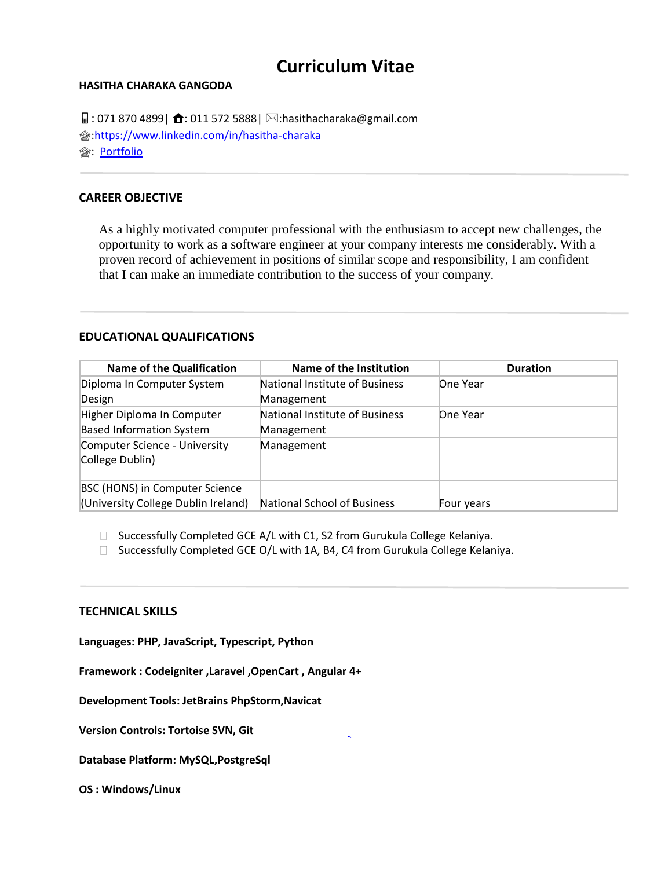# **Curriculum Vitae**

#### **HASITHA CHARAKA GANGODA**

 $\Box$ : 071 870 4899 |  $\triangle$ : 011 572 5888 |  $\boxtimes$ :hasithacharaka@gmail.com [:https://www.linkedin.com/in/hasitha-charaka](https://www.linkedin.com/in/hasitha-charaka) **<sup>俞:</sup> [Portfolio](http://hasi.portfoliobox.net/hasithacharakaresume)** 

## **CAREER OBJECTIVE**

As a highly motivated computer professional with the enthusiasm to accept new challenges, the opportunity to work as a software engineer at your company interests me considerably. With a proven record of achievement in positions of similar scope and responsibility, I am confident that I can make an immediate contribution to the success of your company.

#### **EDUCATIONAL QUALIFICATIONS**

| <b>Name of the Qualification</b>                                      | Name of the Institution                      | <b>Duration</b> |
|-----------------------------------------------------------------------|----------------------------------------------|-----------------|
| Diploma In Computer System<br>Design                                  | National Institute of Business<br>Management | One Year        |
| Higher Diploma In Computer<br><b>Based Information System</b>         | National Institute of Business<br>Management | One Year        |
| Computer Science - University<br>College Dublin)                      | Management                                   |                 |
| BSC (HONS) in Computer Science<br>(University College Dublin Ireland) | National School of Business                  | Four years      |

 $\Box$  Successfully Completed GCE A/L with C1, S2 from Gurukula College Kelaniya.

□ Successfully Completed GCE O/L with 1A, B4, C4 from Gurukula College Kelaniya.

#### **TECHNICAL SKILLS**

**Languages: PHP, JavaScript, Typescript, Python**

**Framework : Codeigniter ,Laravel ,OpenCart , Angular 4+**

**Development Tools: JetBrains PhpStorm,Navicat**

**Version Controls: Tortoise SVN, Git**

**Database Platform: MySQL,PostgreSql**

**OS : Windows/Linux**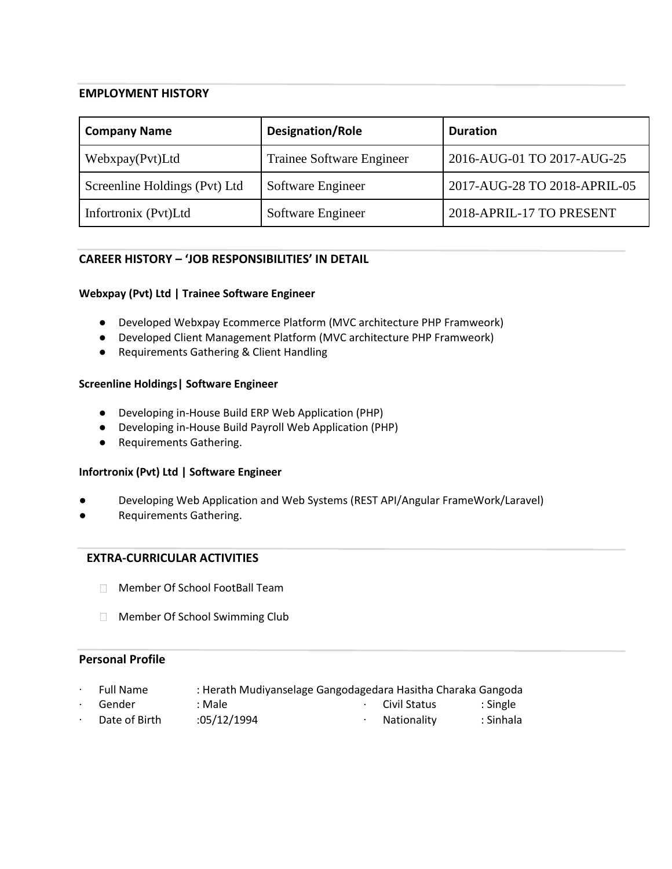## **EMPLOYMENT HISTORY**

| <b>Company Name</b>           | <b>Designation/Role</b>   | <b>Duration</b>              |
|-------------------------------|---------------------------|------------------------------|
| Webxpay(Pvt)Ltd               | Trainee Software Engineer | 2016-AUG-01 TO 2017-AUG-25   |
| Screenline Holdings (Pvt) Ltd | Software Engineer         | 2017-AUG-28 TO 2018-APRIL-05 |
| Infortronix (Pvt)Ltd          | Software Engineer         | 2018-APRIL-17 TO PRESENT     |

# **CAREER HISTORY – 'JOB RESPONSIBILITIES' IN DETAIL**

#### **Webxpay (Pvt) Ltd | Trainee Software Engineer**

- Developed Webxpay Ecommerce Platform (MVC architecture PHP Framweork)
- Developed Client Management Platform (MVC architecture PHP Framweork)
- Requirements Gathering & Client Handling

#### **Screenline Holdings| Software Engineer**

- Developing in-House Build ERP Web Application (PHP)
- Developing in-House Build Payroll Web Application (PHP)
- Requirements Gathering.

#### **Infortronix (Pvt) Ltd | Software Engineer**

- Developing Web Application and Web Systems (REST API/Angular FrameWork/Laravel)
- Requirements Gathering.

## **EXTRA-CURRICULAR ACTIVITIES**

- Member Of School FootBall Team
- **Member Of School Swimming Club**

# **Personal Profile**

- ∙ Full Name : Herath Mudiyanselage Gangodagedara Hasitha Charaka Gangoda ∙ Gender : Male ∙ Civil Status : Single
- Date of Birth : 05/12/1994 COS → Nationality in Sinhala